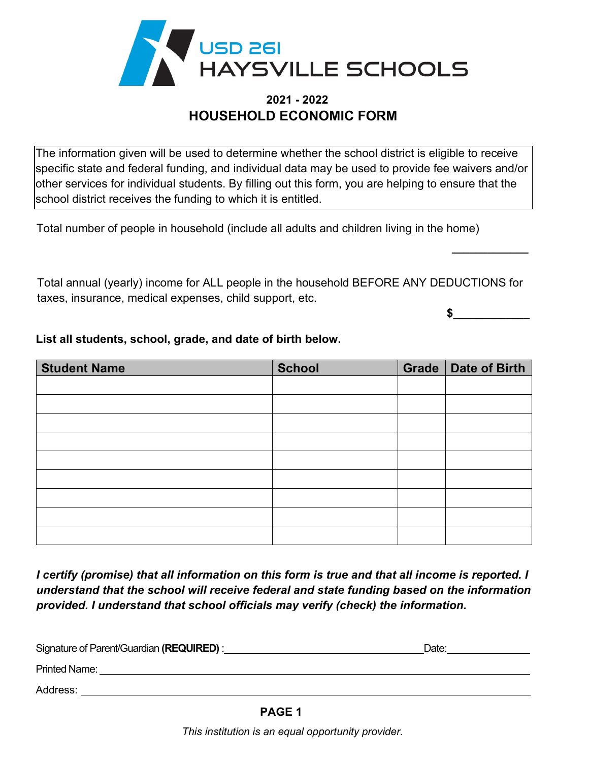

## **2021 - 2022 HOUSEHOLD ECONOMIC FORM**

The information given will be used to determine whether the school district is eligible to receive specific state and federal funding, and individual data may be used to provide fee waivers and/or other services for individual students. By filling out this form, you are helping to ensure that the school district receives the funding to which it is entitled.

Total number of people in household (include all adults and children living in the home)

Total annual (yearly) income for ALL people in the household BEFORE ANY DEDUCTIONS for taxes, insurance, medical expenses, child support, etc.

 $\sim$ 

**\_\_\_\_\_\_\_\_\_\_\_\_\_**

| <b>Student Name</b> | <b>School</b> | Grade   Date of Birth |
|---------------------|---------------|-----------------------|
|                     |               |                       |
|                     |               |                       |
|                     |               |                       |
|                     |               |                       |
|                     |               |                       |
|                     |               |                       |
|                     |               |                       |
|                     |               |                       |
|                     |               |                       |

**List all students, school, grade, and date of birth below.**

 *understand that the school will receive federal and state funding based on the information I certify (promise) that all information on this form is true and that all income is reported. I provided. I understand that school officials may verify (check) the information.*

| Signature of Parent/Guardian (REQUIRED) : | Date: |  |
|-------------------------------------------|-------|--|
| <b>Printed Name:</b>                      |       |  |
| Address:                                  |       |  |
| <b>BAAF</b> 4                             |       |  |

**PAGE 1**

*This institution is an equal opportunity provider.*